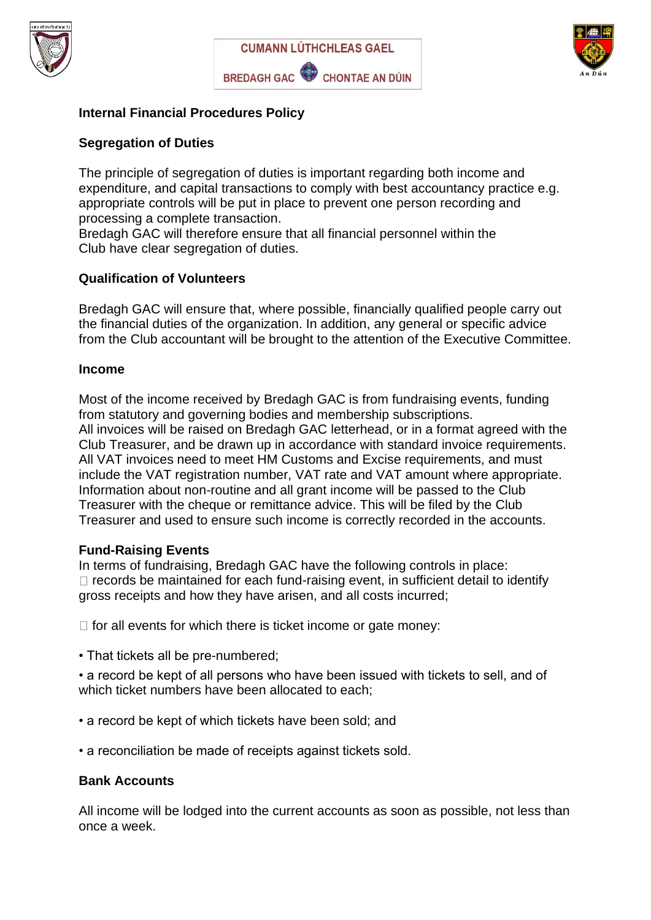





## **Internal Financial Procedures Policy**

#### **Segregation of Duties**

The principle of segregation of duties is important regarding both income and expenditure, and capital transactions to comply with best accountancy practice e.g. appropriate controls will be put in place to prevent one person recording and processing a complete transaction.

Bredagh GAC will therefore ensure that all financial personnel within the Club have clear segregation of duties.

#### **Qualification of Volunteers**

Bredagh GAC will ensure that, where possible, financially qualified people carry out the financial duties of the organization. In addition, any general or specific advice from the Club accountant will be brought to the attention of the Executive Committee.

#### **Income**

Most of the income received by Bredagh GAC is from fundraising events, funding from statutory and governing bodies and membership subscriptions. All invoices will be raised on Bredagh GAC letterhead, or in a format agreed with the Club Treasurer, and be drawn up in accordance with standard invoice requirements. All VAT invoices need to meet HM Customs and Excise requirements, and must include the VAT registration number, VAT rate and VAT amount where appropriate. Information about non-routine and all grant income will be passed to the Club Treasurer with the cheque or remittance advice. This will be filed by the Club Treasurer and used to ensure such income is correctly recorded in the accounts.

#### **Fund-Raising Events**

In terms of fundraising, Bredagh GAC have the following controls in place:  $\Box$  records be maintained for each fund-raising event, in sufficient detail to identify gross receipts and how they have arisen, and all costs incurred;

 $\Box$  for all events for which there is ticket income or gate money:

• That tickets all be pre-numbered;

• a record be kept of all persons who have been issued with tickets to sell, and of which ticket numbers have been allocated to each;

- a record be kept of which tickets have been sold; and
- a reconciliation be made of receipts against tickets sold.

#### **Bank Accounts**

All income will be lodged into the current accounts as soon as possible, not less than once a week.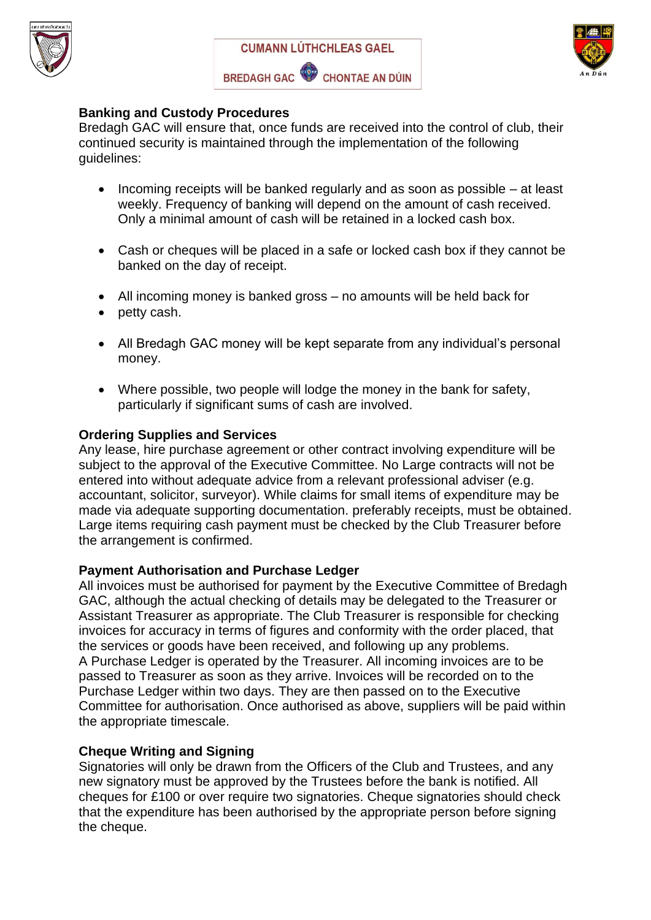





## **Banking and Custody Procedures**

Bredagh GAC will ensure that, once funds are received into the control of club, their continued security is maintained through the implementation of the following guidelines:

- Incoming receipts will be banked regularly and as soon as possible at least weekly. Frequency of banking will depend on the amount of cash received. Only a minimal amount of cash will be retained in a locked cash box.
- Cash or cheques will be placed in a safe or locked cash box if they cannot be banked on the day of receipt.
- All incoming money is banked gross no amounts will be held back for
- petty cash.
- All Bredagh GAC money will be kept separate from any individual's personal money.
- Where possible, two people will lodge the money in the bank for safety, particularly if significant sums of cash are involved.

# **Ordering Supplies and Services**

Any lease, hire purchase agreement or other contract involving expenditure will be subject to the approval of the Executive Committee. No Large contracts will not be entered into without adequate advice from a relevant professional adviser (e.g. accountant, solicitor, surveyor). While claims for small items of expenditure may be made via adequate supporting documentation. preferably receipts, must be obtained. Large items requiring cash payment must be checked by the Club Treasurer before the arrangement is confirmed.

## **Payment Authorisation and Purchase Ledger**

All invoices must be authorised for payment by the Executive Committee of Bredagh GAC, although the actual checking of details may be delegated to the Treasurer or Assistant Treasurer as appropriate. The Club Treasurer is responsible for checking invoices for accuracy in terms of figures and conformity with the order placed, that the services or goods have been received, and following up any problems. A Purchase Ledger is operated by the Treasurer. All incoming invoices are to be passed to Treasurer as soon as they arrive. Invoices will be recorded on to the Purchase Ledger within two days. They are then passed on to the Executive Committee for authorisation. Once authorised as above, suppliers will be paid within the appropriate timescale.

## **Cheque Writing and Signing**

Signatories will only be drawn from the Officers of the Club and Trustees, and any new signatory must be approved by the Trustees before the bank is notified. All cheques for £100 or over require two signatories. Cheque signatories should check that the expenditure has been authorised by the appropriate person before signing the cheque.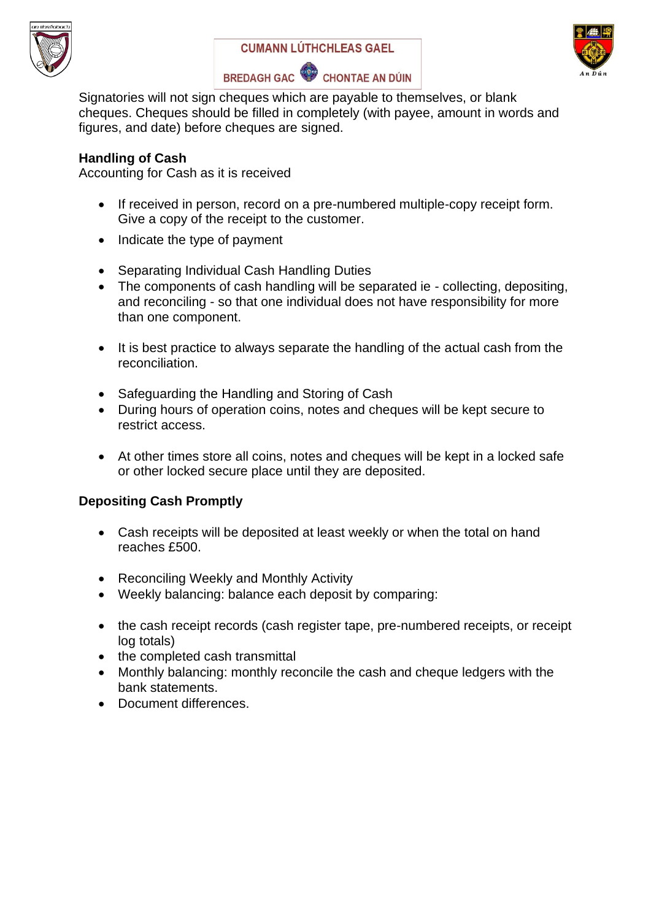





Signatories will not sign cheques which are payable to themselves, or blank cheques. Cheques should be filled in completely (with payee, amount in words and figures, and date) before cheques are signed.

## **Handling of Cash**

Accounting for Cash as it is received

- If received in person, record on a pre-numbered multiple-copy receipt form. Give a copy of the receipt to the customer.
- Indicate the type of payment
- Separating Individual Cash Handling Duties
- The components of cash handling will be separated ie collecting, depositing, and reconciling - so that one individual does not have responsibility for more than one component.
- It is best practice to always separate the handling of the actual cash from the reconciliation.
- Safeguarding the Handling and Storing of Cash
- During hours of operation coins, notes and cheques will be kept secure to restrict access.
- At other times store all coins, notes and cheques will be kept in a locked safe or other locked secure place until they are deposited.

# **Depositing Cash Promptly**

- Cash receipts will be deposited at least weekly or when the total on hand reaches £500.
- Reconciling Weekly and Monthly Activity
- Weekly balancing: balance each deposit by comparing:
- the cash receipt records (cash register tape, pre-numbered receipts, or receipt log totals)
- the completed cash transmittal
- Monthly balancing: monthly reconcile the cash and cheque ledgers with the bank statements.
- Document differences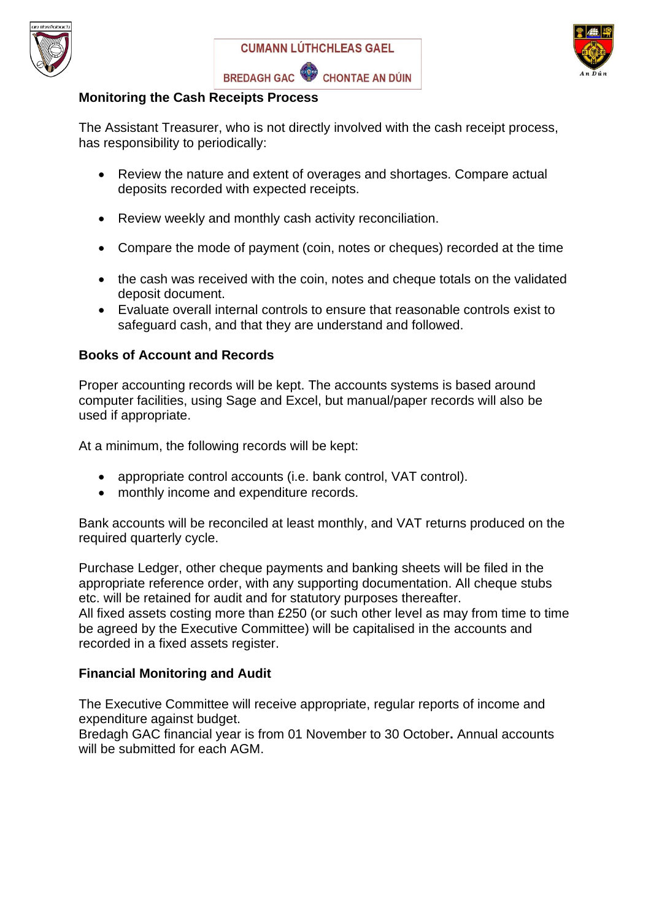





## **Monitoring the Cash Receipts Process**

The Assistant Treasurer, who is not directly involved with the cash receipt process, has responsibility to periodically:

- Review the nature and extent of overages and shortages. Compare actual deposits recorded with expected receipts.
- Review weekly and monthly cash activity reconciliation.
- Compare the mode of payment (coin, notes or cheques) recorded at the time
- the cash was received with the coin, notes and cheque totals on the validated deposit document.
- Evaluate overall internal controls to ensure that reasonable controls exist to safeguard cash, and that they are understand and followed.

## **Books of Account and Records**

Proper accounting records will be kept. The accounts systems is based around computer facilities, using Sage and Excel, but manual/paper records will also be used if appropriate.

At a minimum, the following records will be kept:

- appropriate control accounts (i.e. bank control, VAT control).
- monthly income and expenditure records.

Bank accounts will be reconciled at least monthly, and VAT returns produced on the required quarterly cycle.

Purchase Ledger, other cheque payments and banking sheets will be filed in the appropriate reference order, with any supporting documentation. All cheque stubs etc. will be retained for audit and for statutory purposes thereafter. All fixed assets costing more than £250 (or such other level as may from time to time be agreed by the Executive Committee) will be capitalised in the accounts and recorded in a fixed assets register.

## **Financial Monitoring and Audit**

The Executive Committee will receive appropriate, regular reports of income and expenditure against budget.

Bredagh GAC financial year is from 01 November to 30 October**.** Annual accounts will be submitted for each AGM.